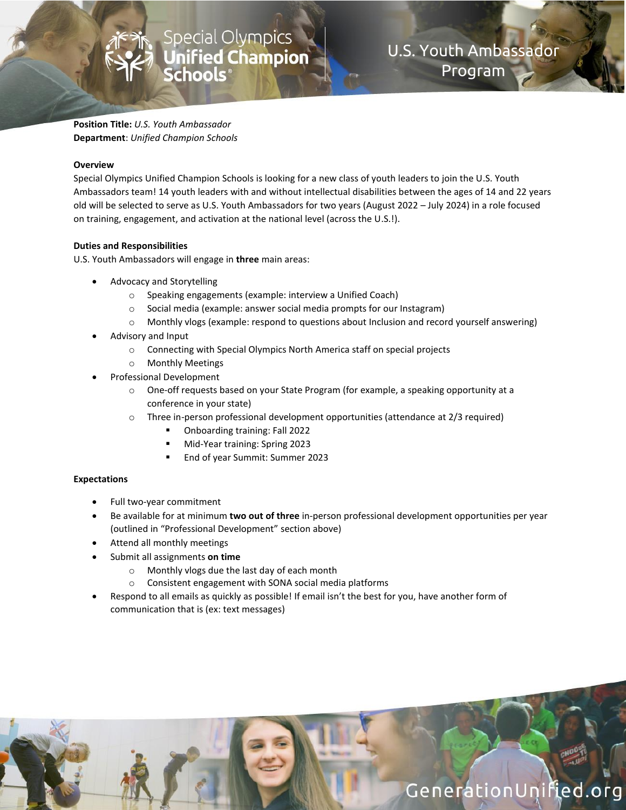**Position Title:** *U.S. Youth Ambassador* **Department**: *Unified Champion Schools*

#### **Overview**

Special Olympics Unified Champion Schools is looking for a new class of youth leaders to join the U.S. Youth Ambassadors team! 14 youth leaders with and without intellectual disabilities between the ages of 14 and 22 years old will be selected to serve as U.S. Youth Ambassadors for two years (August 2022 – July 2024) in a role focused on training, engagement, and activation at the national level (across the U.S.!).

U.S. Youth Ambassador

Program

GenerationUnified.org

### **Duties and Responsibilities**

U.S. Youth Ambassadors will engage in **three** main areas:

- Advocacy and Storytelling
	- o Speaking engagements (example: interview a Unified Coach)

Special Olympics<br>**Unified Champion**<br>**Schools**®

- o Social media (example: answer social media prompts for our Instagram)
- $\circ$  Monthly vlogs (example: respond to questions about Inclusion and record yourself answering)
- Advisory and Input
	- o Connecting with Special Olympics North America staff on special projects
	- o Monthly Meetings
- Professional Development
	- o One-off requests based on your State Program (for example, a speaking opportunity at a conference in your state)
	- $\circ$  Three in-person professional development opportunities (attendance at 2/3 required)
		- Onboarding training: Fall 2022
		- Mid-Year training: Spring 2023
		- End of year Summit: Summer 2023

#### **Expectations**

- Full two-year commitment
- Be available for at minimum **two out of three** in-person professional development opportunities per year (outlined in "Professional Development" section above)
- Attend all monthly meetings
- Submit all assignments **on time**
	- o Monthly vlogs due the last day of each month
	- o Consistent engagement with SONA social media platforms
- Respond to all emails as quickly as possible! If email isn't the best for you, have another form of communication that is (ex: text messages)